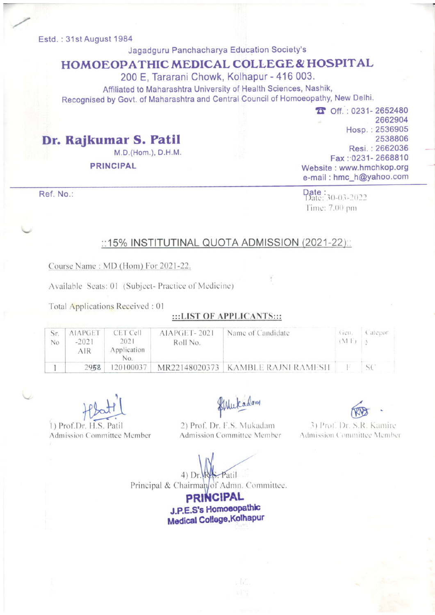#### Estd.: 31st August 1984

## Jagadguru Panchacharya Education Society's

# HOMOEOPATHIC MEDICAL COLLEGE& HOSPITAL

200 E, Tararani Chowk, Kolhapur - 416 003.

Affiliated to Maharashtra University of Health Sciences, Nashik, Recognised by Govt. of Maharashtra and Central Council of Homoeopathy, New Delhi

> $D$  Off.: 0231-2652480 2662904 Hosp. :2536905 2538806 Resi.:2662036 Fax: 0231-2668810 Website : www.hmchkop.org e-mail : hmc-h@yahoo.com

Ref. No.:

 $\frac{\text{Date}}{\text{Date}}$ : 30-03-2022 Time: 7.00 pm

### ::15% INSTITUTINAL QUOTA ADMISSION (2021-22)::

Course Name: MD (Hom) For 2021-22.

Dr. RaJkumar S. Patil

PRINCIPAL

Available Seats: 01 (Subject- Practice of Medicine)

M.D.(Hom.), D.H.M.

Total Applications Received :01

#### :::LIST OF APPLICANTS:::

| No | <b>AIAPGET</b><br>$-2021$<br>AIR | CET Cell<br>2021<br>Application | AIAPGET-2021<br>Roll No. | Name of Candidate                   | Gen.<br>(M <sub>1</sub> ) | ategor |
|----|----------------------------------|---------------------------------|--------------------------|-------------------------------------|---------------------------|--------|
|    | 2958                             | 120100037                       |                          | MR22148020373   KAMBLE RAJNI RAMESH |                           |        |

1) Prof.Dr. H.S. Patil Admission Committee Member

flatt flutadam<br>HS Patil 2) Prof. Dr. E.S. Mutadam 3) Prof. Dr. S. R

2) Prof. Dr. F.S. Mukadam Admission Committee Member

3) Prof. Dr. S.R. Kamire. Admission Committee Member

4) Dr. W. Patil.

Principal & Chairman/of Admn. Committee.

**PRINCIPAL** J.P.E.S's Homoeopathic Medical College, Kolhapur